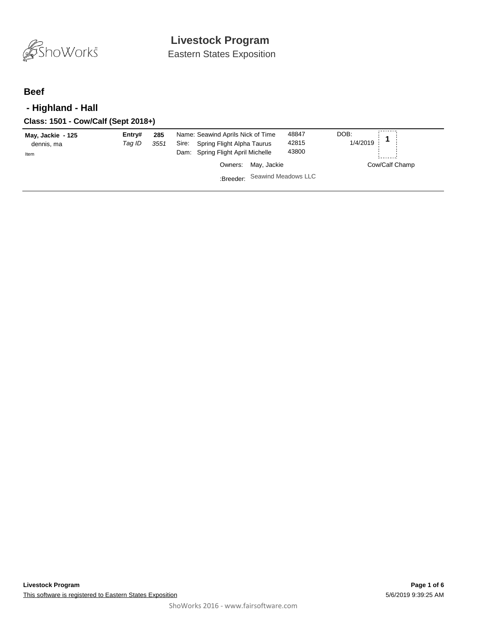

Eastern States Exposition

### **Beef**

## **- Highland - Hall**

| May, Jackie - 125<br>dennis, ma<br>Item | Entry#<br>Taq ID | 285<br>3551 | Name: Seawind Aprils Nick of Time<br>Sire: Spring Flight Alpha Taurus<br>Dam: Spring Flight April Michelle | 48847<br>42815<br>43800 | DOB:<br>1/4/2019 | ---------      |
|-----------------------------------------|------------------|-------------|------------------------------------------------------------------------------------------------------------|-------------------------|------------------|----------------|
|                                         |                  |             | Owners: May, Jackie                                                                                        |                         |                  | Cow/Calf Champ |
|                                         |                  |             | :Breeder: Seawind Meadows LLC                                                                              |                         |                  |                |
|                                         |                  |             |                                                                                                            |                         |                  |                |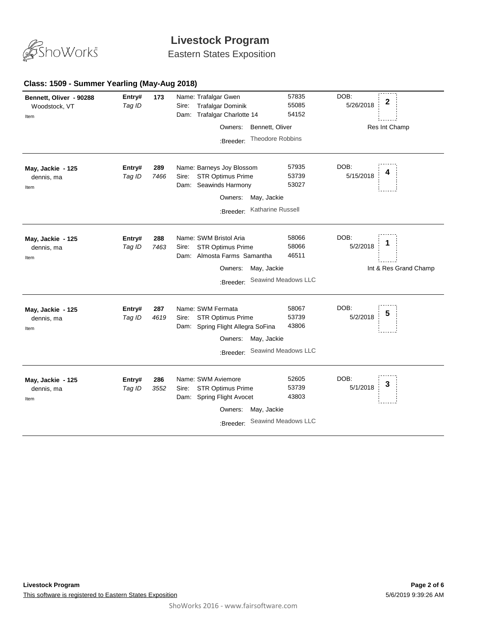

Eastern States Exposition

#### **Class: 1509 - Summer Yearling (May-Aug 2018)**

| Bennett, Oliver - 90288<br>Woodstock, VT<br>Item | Entry#<br>Tag ID | 173         | Name: Trafalgar Gwen<br><b>Trafalgar Dominik</b><br>Sire:<br><b>Trafalgar Charlotte 14</b><br>Dam:<br>Bennett, Oliver<br>Owners:<br>Theodore Robbins<br>:Breeder: | 57835<br>55085<br>54152                        | DOB:<br>2<br>5/26/2018<br>Res Int Champ   |
|--------------------------------------------------|------------------|-------------|-------------------------------------------------------------------------------------------------------------------------------------------------------------------|------------------------------------------------|-------------------------------------------|
| May, Jackie - 125<br>dennis, ma<br>Item          | Entry#<br>Tag ID | 289<br>7466 | Name: Barneys Joy Blossom<br><b>STR Optimus Prime</b><br>Sire:<br>Dam: Seawinds Harmony<br>May, Jackie<br>Owners:<br>Katharine Russell<br>:Breeder:               | 57935<br>53739<br>53027                        | DOB:<br>5/15/2018                         |
| May, Jackie - 125<br>dennis, ma<br>Item          | Entry#<br>Tag ID | 288<br>7463 | Name: SWM Bristol Aria<br><b>STR Optimus Prime</b><br>Sire:<br>Dam: Almosta Farms Samantha<br>May, Jackie<br>Owners:<br>:Breeder:                                 | 58066<br>58066<br>46511<br>Seawind Meadows LLC | DOB:<br>5/2/2018<br>Int & Res Grand Champ |
| May, Jackie - 125<br>dennis, ma<br>Item          | Entry#<br>Tag ID | 287<br>4619 | Name: SWM Fermata<br><b>STR Optimus Prime</b><br>Sire:<br>Dam: Spring Flight Allegra SoFina<br>May, Jackie<br>Owners:<br>:Breeder:                                | 58067<br>53739<br>43806<br>Seawind Meadows LLC | DOB:<br>5<br>5/2/2018                     |
| May, Jackie - 125<br>dennis, ma<br>Item          | Entry#<br>Tag ID | 286<br>3552 | Name: SWM Aviemore<br><b>STR Optimus Prime</b><br>Sire:<br>Dam: Spring Flight Avocet<br>May, Jackie<br>Owners:<br>:Breeder:                                       | 52605<br>53739<br>43803<br>Seawind Meadows LLC | DOB:<br>3<br>5/1/2018                     |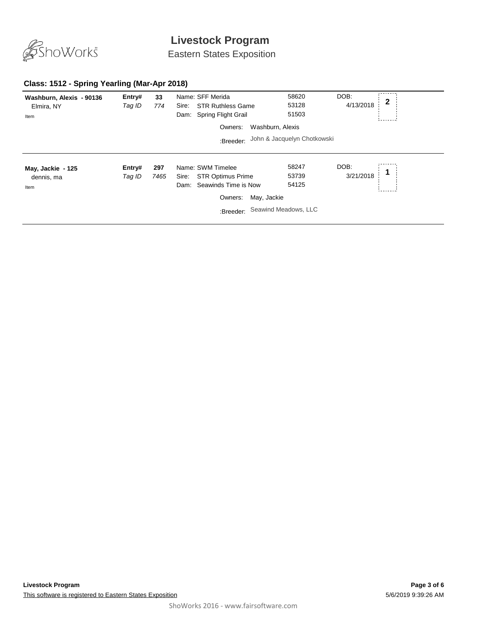

Eastern States Exposition

#### **Class: 1512 - Spring Yearling (Mar-Apr 2018)**

| Washburn, Alexis - 90136<br>Elmira, NY<br>Item | Entry#<br>Tag ID | 33<br>774   | Name: SFF Merida<br><b>STR Ruthless Game</b><br>Sire:<br>Spring Flight Grail<br>Dam:<br>Owners:<br>:Breeder:   | 58620<br>53128<br>51503<br>Washburn, Alexis<br>John & Jacquelyn Chotkowski | DOB:<br>2<br>4/13/2018 |  |
|------------------------------------------------|------------------|-------------|----------------------------------------------------------------------------------------------------------------|----------------------------------------------------------------------------|------------------------|--|
| May, Jackie - 125<br>dennis, ma<br>Item        | Entry#<br>Tag ID | 297<br>7465 | Name: SWM Timelee<br><b>STR Optimus Prime</b><br>Sire:<br>Seawinds Time is Now<br>Dam:<br>Owners:<br>:Breeder: | 58247<br>53739<br>54125<br>May, Jackie<br>Seawind Meadows, LLC             | DOB:<br>3/21/2018      |  |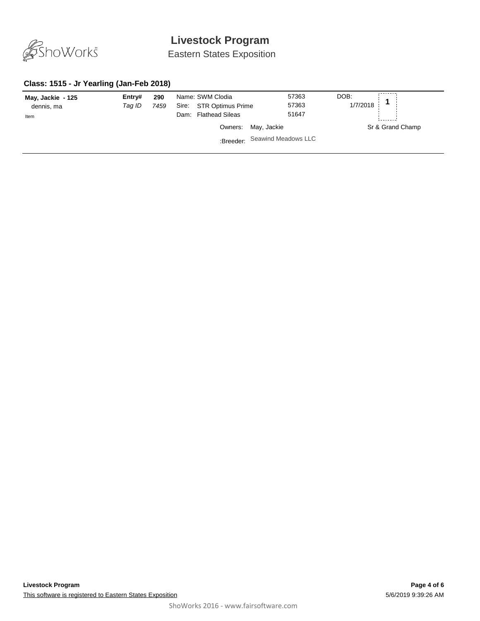

Eastern States Exposition

#### **Class: 1515 - Jr Yearling (Jan-Feb 2018)**

| May, Jackie - 125<br>dennis, ma<br>Item | Entry#<br>Taq ID | 290<br>7459 | Name: SWM Clodia<br>Sire: STR Optimus Prime<br><b>Flathead Sileas</b><br>Dam: | 57363<br>57363<br>51647       | DOB:<br>1/7/2018 |
|-----------------------------------------|------------------|-------------|-------------------------------------------------------------------------------|-------------------------------|------------------|
|                                         |                  |             |                                                                               | Owners: May, Jackie           | Sr & Grand Champ |
|                                         |                  |             |                                                                               | :Breeder: Seawind Meadows LLC |                  |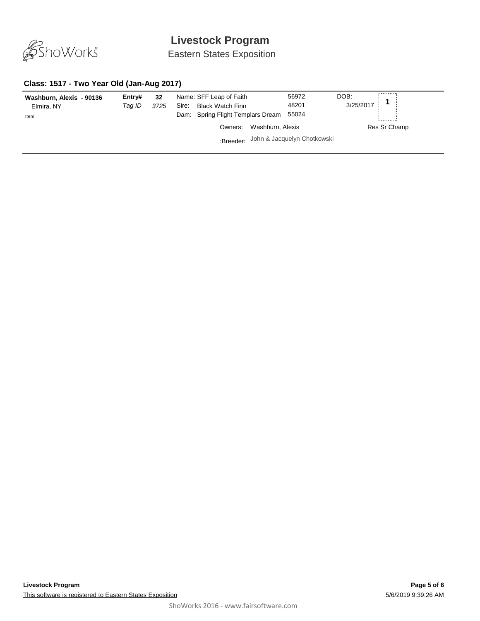

Eastern States Exposition

#### **Class: 1517 - Two Year Old (Jan-Aug 2017)**

| Washburn, Alexis - 90136<br>Elmira, NY<br>Item | Entry#<br>Tag ID | 32<br>3725 | Name: SFF Leap of Faith<br><b>Black Watch Finn</b><br>Sire:<br>Dam: Spring Flight Templars Dream | 56972<br>48201<br>55024 | DOB:<br>3/25/2017 |
|------------------------------------------------|------------------|------------|--------------------------------------------------------------------------------------------------|-------------------------|-------------------|
|                                                |                  |            | Washburn, Alexis<br>Owners:                                                                      |                         | Res Sr Champ      |
|                                                |                  |            | :Breeder: John & Jacquelyn Chotkowski                                                            |                         |                   |